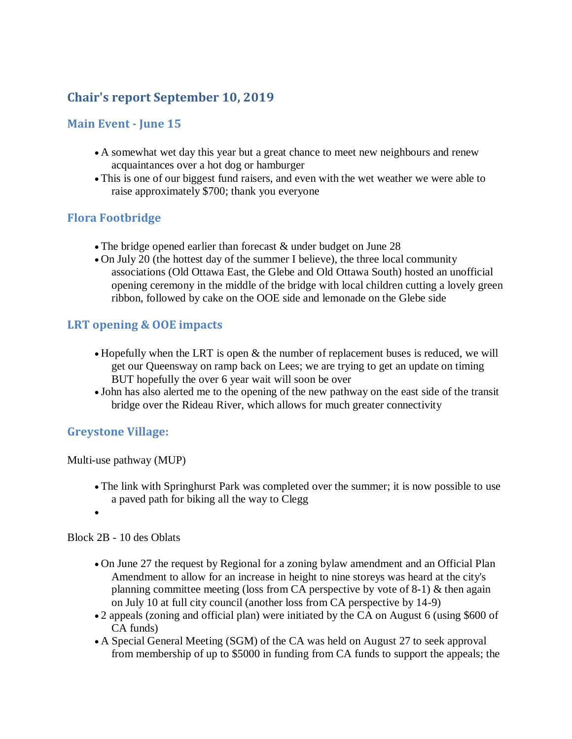# **Chair's report September 10, 2019**

### **Main Event - June 15**

- A somewhat wet day this year but a great chance to meet new neighbours and renew acquaintances over a hot dog or hamburger
- This is one of our biggest fund raisers, and even with the wet weather we were able to raise approximately \$700; thank you everyone

### **Flora Footbridge**

- The bridge opened earlier than forecast & under budget on June 28
- On July 20 (the hottest day of the summer I believe), the three local community associations (Old Ottawa East, the Glebe and Old Ottawa South) hosted an unofficial opening ceremony in the middle of the bridge with local children cutting a lovely green ribbon, followed by cake on the OOE side and lemonade on the Glebe side

## **LRT opening & OOE impacts**

- Hopefully when the LRT is open & the number of replacement buses is reduced, we will get our Queensway on ramp back on Lees; we are trying to get an update on timing BUT hopefully the over 6 year wait will soon be over
- John has also alerted me to the opening of the new pathway on the east side of the transit bridge over the Rideau River, which allows for much greater connectivity

### **Greystone Village:**

Multi-use pathway (MUP)

- The link with Springhurst Park was completed over the summer; it is now possible to use a paved path for biking all the way to Clegg
- $\bullet$

Block 2B - 10 des Oblats

- On June 27 the request by Regional for a zoning bylaw amendment and an Official Plan Amendment to allow for an increase in height to nine storeys was heard at the city's planning committee meeting (loss from CA perspective by vote of  $8-1$ ) & then again on July 10 at full city council (another loss from CA perspective by 14-9)
- 2 appeals (zoning and official plan) were initiated by the CA on August 6 (using \$600 of CA funds)
- A Special General Meeting (SGM) of the CA was held on August 27 to seek approval from membership of up to \$5000 in funding from CA funds to support the appeals; the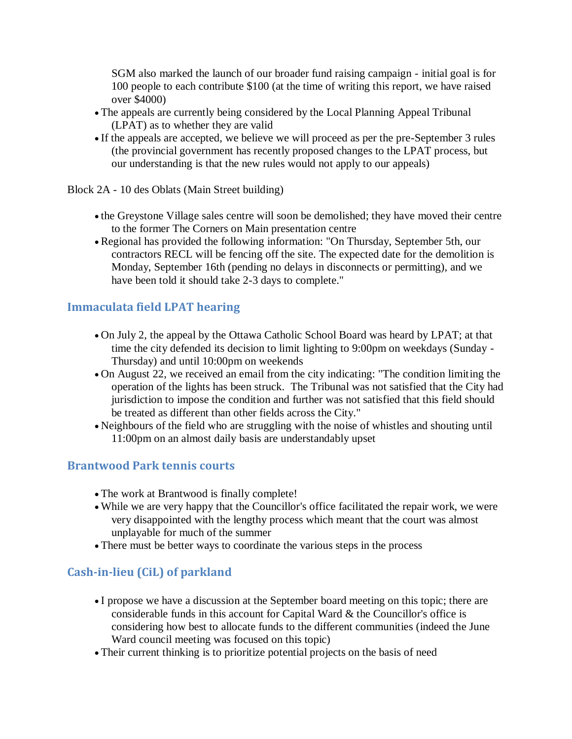SGM also marked the launch of our broader fund raising campaign - initial goal is for 100 people to each contribute \$100 (at the time of writing this report, we have raised over \$4000)

- The appeals are currently being considered by the Local Planning Appeal Tribunal (LPAT) as to whether they are valid
- If the appeals are accepted, we believe we will proceed as per the pre-September 3 rules (the provincial government has recently proposed changes to the LPAT process, but our understanding is that the new rules would not apply to our appeals)
- Block 2A 10 des Oblats (Main Street building)
	- the Greystone Village sales centre will soon be demolished; they have moved their centre to the former The Corners on Main presentation centre
	- Regional has provided the following information: "On Thursday, September 5th, our contractors RECL will be fencing off the site. The expected date for the demolition is Monday, September 16th (pending no delays in disconnects or permitting), and we have been told it should take 2-3 days to complete."

### **Immaculata field LPAT hearing**

- On July 2, the appeal by the Ottawa Catholic School Board was heard by LPAT; at that time the city defended its decision to limit lighting to 9:00pm on weekdays (Sunday - Thursday) and until 10:00pm on weekends
- On August 22, we received an email from the city indicating: "The condition limiting the operation of the lights has been struck. The Tribunal was not satisfied that the City had jurisdiction to impose the condition and further was not satisfied that this field should be treated as different than other fields across the City."
- Neighbours of the field who are struggling with the noise of whistles and shouting until 11:00pm on an almost daily basis are understandably upset

### **Brantwood Park tennis courts**

- The work at Brantwood is finally complete!
- While we are very happy that the Councillor's office facilitated the repair work, we were very disappointed with the lengthy process which meant that the court was almost unplayable for much of the summer
- There must be better ways to coordinate the various steps in the process

# **Cash-in-lieu (CiL) of parkland**

- I propose we have a discussion at the September board meeting on this topic; there are considerable funds in this account for Capital Ward & the Councillor's office is considering how best to allocate funds to the different communities (indeed the June Ward council meeting was focused on this topic)
- Their current thinking is to prioritize potential projects on the basis of need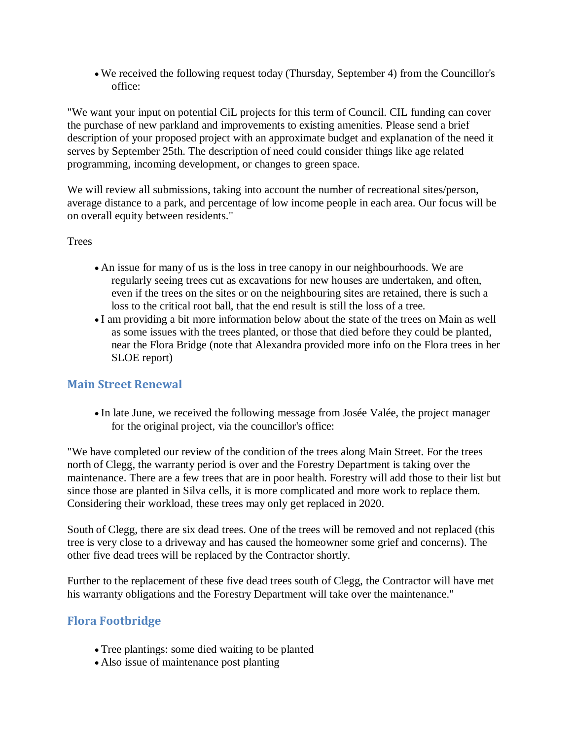We received the following request today (Thursday, September 4) from the Councillor's office:

"We want your input on potential CiL projects for this term of Council. CIL funding can cover the purchase of new parkland and improvements to existing amenities. Please send a brief description of your proposed project with an approximate budget and explanation of the need it serves by September 25th. The description of need could consider things like age related programming, incoming development, or changes to green space.

We will review all submissions, taking into account the number of recreational sites/person, average distance to a park, and percentage of low income people in each area. Our focus will be on overall equity between residents."

#### **Trees**

- An issue for many of us is the loss in tree canopy in our neighbourhoods. We are regularly seeing trees cut as excavations for new houses are undertaken, and often, even if the trees on the sites or on the neighbouring sites are retained, there is such a loss to the critical root ball, that the end result is still the loss of a tree.
- I am providing a bit more information below about the state of the trees on Main as well as some issues with the trees planted, or those that died before they could be planted, near the Flora Bridge (note that Alexandra provided more info on the Flora trees in her SLOE report)

### **Main Street Renewal**

• In late June, we received the following message from Josée Valée, the project manager for the original project, via the councillor's office:

"We have completed our review of the condition of the trees along Main Street. For the trees north of Clegg, the warranty period is over and the Forestry Department is taking over the maintenance. There are a few trees that are in poor health. Forestry will add those to their list but since those are planted in Silva cells, it is more complicated and more work to replace them. Considering their workload, these trees may only get replaced in 2020.

South of Clegg, there are six dead trees. One of the trees will be removed and not replaced (this tree is very close to a driveway and has caused the homeowner some grief and concerns). The other five dead trees will be replaced by the Contractor shortly.

Further to the replacement of these five dead trees south of Clegg, the Contractor will have met his warranty obligations and the Forestry Department will take over the maintenance."

## **Flora Footbridge**

- Tree plantings: some died waiting to be planted
- Also issue of maintenance post planting